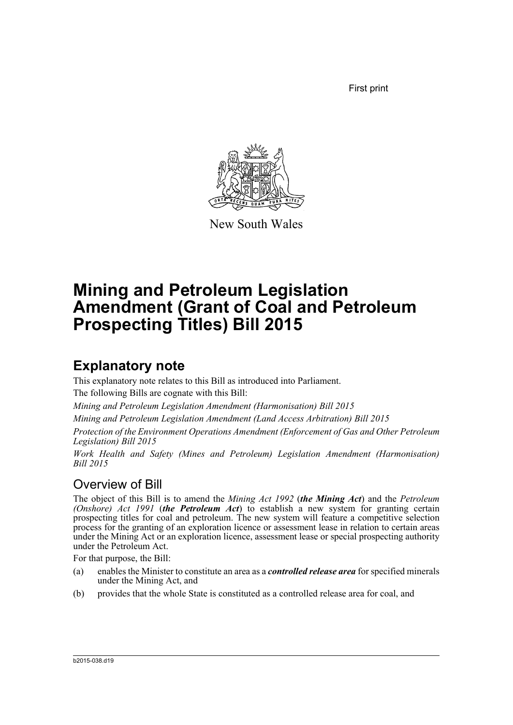First print



New South Wales

# **Mining and Petroleum Legislation Amendment (Grant of Coal and Petroleum Prospecting Titles) Bill 2015**

## **Explanatory note**

This explanatory note relates to this Bill as introduced into Parliament. The following Bills are cognate with this Bill:

*Mining and Petroleum Legislation Amendment (Harmonisation) Bill 2015*

*Mining and Petroleum Legislation Amendment (Land Access Arbitration) Bill 2015*

*Protection of the Environment Operations Amendment (Enforcement of Gas and Other Petroleum Legislation) Bill 2015*

*Work Health and Safety (Mines and Petroleum) Legislation Amendment (Harmonisation) Bill 2015*

## Overview of Bill

The object of this Bill is to amend the *Mining Act 1992* (*the Mining Act*) and the *Petroleum (Onshore) Act 1991* (*the Petroleum Act*) to establish a new system for granting certain prospecting titles for coal and petroleum. The new system will feature a competitive selection process for the granting of an exploration licence or assessment lease in relation to certain areas under the Mining Act or an exploration licence, assessment lease or special prospecting authority under the Petroleum Act.

For that purpose, the Bill:

- (a) enables the Minister to constitute an area as a *controlled release area* for specified minerals under the Mining Act, and
- (b) provides that the whole State is constituted as a controlled release area for coal, and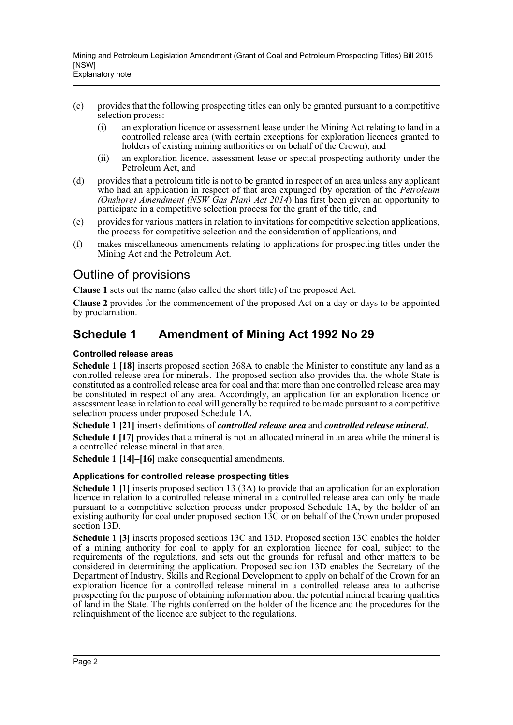- (c) provides that the following prospecting titles can only be granted pursuant to a competitive selection process:
	- (i) an exploration licence or assessment lease under the Mining Act relating to land in a controlled release area (with certain exceptions for exploration licences granted to holders of existing mining authorities or on behalf of the Crown), and
	- (ii) an exploration licence, assessment lease or special prospecting authority under the Petroleum Act, and
- (d) provides that a petroleum title is not to be granted in respect of an area unless any applicant who had an application in respect of that area expunged (by operation of the *Petroleum (Onshore) Amendment (NSW Gas Plan) Act 2014*) has first been given an opportunity to participate in a competitive selection process for the grant of the title, and
- (e) provides for various matters in relation to invitations for competitive selection applications, the process for competitive selection and the consideration of applications, and
- (f) makes miscellaneous amendments relating to applications for prospecting titles under the Mining Act and the Petroleum Act.

### Outline of provisions

**Clause 1** sets out the name (also called the short title) of the proposed Act.

**Clause 2** provides for the commencement of the proposed Act on a day or days to be appointed by proclamation.

### **Schedule 1 Amendment of Mining Act 1992 No 29**

#### **Controlled release areas**

**Schedule 1 [18]** inserts proposed section 368A to enable the Minister to constitute any land as a controlled release area for minerals. The proposed section also provides that the whole State is constituted as a controlled release area for coal and that more than one controlled release area may be constituted in respect of any area. Accordingly, an application for an exploration licence or assessment lease in relation to coal will generally be required to be made pursuant to a competitive selection process under proposed Schedule 1A.

**Schedule 1 [21]** inserts definitions of *controlled release area* and *controlled release mineral*.

**Schedule 1 [17]** provides that a mineral is not an allocated mineral in an area while the mineral is a controlled release mineral in that area.

**Schedule 1 [14]–[16]** make consequential amendments.

#### **Applications for controlled release prospecting titles**

**Schedule 1 [1]** inserts proposed section 13 (3A) to provide that an application for an exploration licence in relation to a controlled release mineral in a controlled release area can only be made pursuant to a competitive selection process under proposed Schedule 1A, by the holder of an existing authority for coal under proposed section  $13C$  or on behalf of the Crown under proposed section 13D.

**Schedule 1 [3]** inserts proposed sections 13C and 13D. Proposed section 13C enables the holder of a mining authority for coal to apply for an exploration licence for coal, subject to the requirements of the regulations, and sets out the grounds for refusal and other matters to be considered in determining the application. Proposed section 13D enables the Secretary of the Department of Industry, Skills and Regional Development to apply on behalf of the Crown for an exploration licence for a controlled release mineral in a controlled release area to authorise prospecting for the purpose of obtaining information about the potential mineral bearing qualities of land in the State. The rights conferred on the holder of the licence and the procedures for the relinquishment of the licence are subject to the regulations.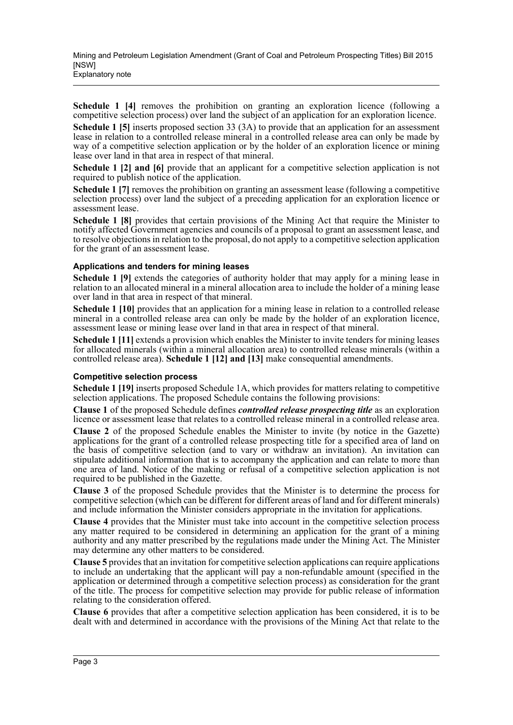**Schedule 1 [4]** removes the prohibition on granting an exploration licence (following a competitive selection process) over land the subject of an application for an exploration licence.

**Schedule 1 [5]** inserts proposed section 33 (3A) to provide that an application for an assessment lease in relation to a controlled release mineral in a controlled release area can only be made by way of a competitive selection application or by the holder of an exploration licence or mining lease over land in that area in respect of that mineral.

**Schedule 1 [2] and [6]** provide that an applicant for a competitive selection application is not required to publish notice of the application.

**Schedule 1** [7] removes the prohibition on granting an assessment lease (following a competitive selection process) over land the subject of a preceding application for an exploration licence or assessment lease.

**Schedule 1 [8]** provides that certain provisions of the Mining Act that require the Minister to notify affected Government agencies and councils of a proposal to grant an assessment lease, and to resolve objections in relation to the proposal, do not apply to a competitive selection application for the grant of an assessment lease.

#### **Applications and tenders for mining leases**

**Schedule 1 [9]** extends the categories of authority holder that may apply for a mining lease in relation to an allocated mineral in a mineral allocation area to include the holder of a mining lease over land in that area in respect of that mineral.

**Schedule 1 [10]** provides that an application for a mining lease in relation to a controlled release mineral in a controlled release area can only be made by the holder of an exploration licence, assessment lease or mining lease over land in that area in respect of that mineral.

**Schedule 1 [11]** extends a provision which enables the Minister to invite tenders for mining leases for allocated minerals (within a mineral allocation area) to controlled release minerals (within a controlled release area). **Schedule 1 [12] and [13]** make consequential amendments.

#### **Competitive selection process**

**Schedule 1 [19]** inserts proposed Schedule 1A, which provides for matters relating to competitive selection applications. The proposed Schedule contains the following provisions:

**Clause 1** of the proposed Schedule defines *controlled release prospecting title* as an exploration licence or assessment lease that relates to a controlled release mineral in a controlled release area.

**Clause 2** of the proposed Schedule enables the Minister to invite (by notice in the Gazette) applications for the grant of a controlled release prospecting title for a specified area of land on the basis of competitive selection (and to vary or withdraw an invitation). An invitation can stipulate additional information that is to accompany the application and can relate to more than one area of land. Notice of the making or refusal of a competitive selection application is not required to be published in the Gazette.

**Clause 3** of the proposed Schedule provides that the Minister is to determine the process for competitive selection (which can be different for different areas of land and for different minerals) and include information the Minister considers appropriate in the invitation for applications.

**Clause 4** provides that the Minister must take into account in the competitive selection process any matter required to be considered in determining an application for the grant of a mining authority and any matter prescribed by the regulations made under the Mining Act. The Minister may determine any other matters to be considered.

**Clause 5** provides that an invitation for competitive selection applications can require applications to include an undertaking that the applicant will pay a non-refundable amount (specified in the application or determined through a competitive selection process) as consideration for the grant of the title. The process for competitive selection may provide for public release of information relating to the consideration offered.

**Clause 6** provides that after a competitive selection application has been considered, it is to be dealt with and determined in accordance with the provisions of the Mining Act that relate to the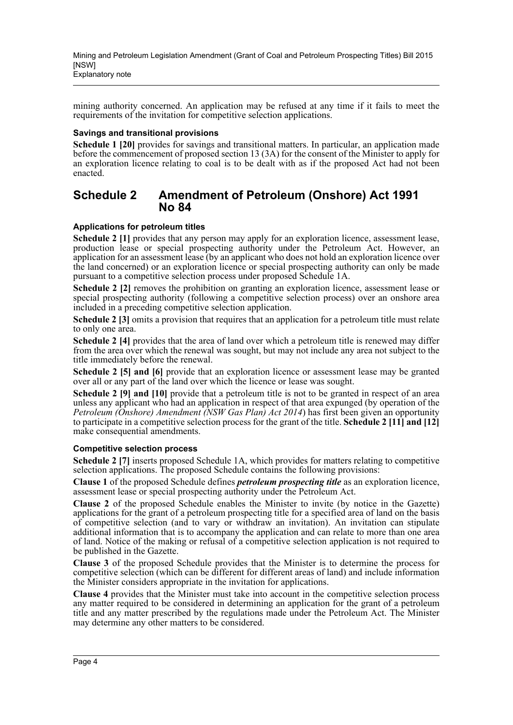mining authority concerned. An application may be refused at any time if it fails to meet the requirements of the invitation for competitive selection applications.

#### **Savings and transitional provisions**

**Schedule 1 [20]** provides for savings and transitional matters. In particular, an application made before the commencement of proposed section 13 (3A) for the consent of the Minister to apply for an exploration licence relating to coal is to be dealt with as if the proposed Act had not been enacted.

### **Schedule 2 Amendment of Petroleum (Onshore) Act 1991 No 84**

#### **Applications for petroleum titles**

**Schedule 2 [1]** provides that any person may apply for an exploration licence, assessment lease, production lease or special prospecting authority under the Petroleum Act. However, an application for an assessment lease (by an applicant who does not hold an exploration licence over the land concerned) or an exploration licence or special prospecting authority can only be made pursuant to a competitive selection process under proposed Schedule 1A.

**Schedule 2 [2]** removes the prohibition on granting an exploration licence, assessment lease or special prospecting authority (following a competitive selection process) over an onshore area included in a preceding competitive selection application.

**Schedule 2** [3] omits a provision that requires that an application for a petroleum title must relate to only one area.

**Schedule 2 [4]** provides that the area of land over which a petroleum title is renewed may differ from the area over which the renewal was sought, but may not include any area not subject to the title immediately before the renewal.

**Schedule 2 [5] and [6]** provide that an exploration licence or assessment lease may be granted over all or any part of the land over which the licence or lease was sought.

**Schedule 2 [9] and [10]** provide that a petroleum title is not to be granted in respect of an area unless any applicant who had an application in respect of that area expunged (by operation of the *Petroleum (Onshore) Amendment (NSW Gas Plan) Act 2014*) has first been given an opportunity to participate in a competitive selection process for the grant of the title. **Schedule 2 [11] and [12]** make consequential amendments.

#### **Competitive selection process**

**Schedule 2 [7]** inserts proposed Schedule 1A, which provides for matters relating to competitive selection applications. The proposed Schedule contains the following provisions:

**Clause 1** of the proposed Schedule defines *petroleum prospecting title* as an exploration licence, assessment lease or special prospecting authority under the Petroleum Act.

**Clause 2** of the proposed Schedule enables the Minister to invite (by notice in the Gazette) applications for the grant of a petroleum prospecting title for a specified area of land on the basis of competitive selection (and to vary or withdraw an invitation). An invitation can stipulate additional information that is to accompany the application and can relate to more than one area of land. Notice of the making or refusal of a competitive selection application is not required to be published in the Gazette.

**Clause 3** of the proposed Schedule provides that the Minister is to determine the process for competitive selection (which can be different for different areas of land) and include information the Minister considers appropriate in the invitation for applications.

**Clause 4** provides that the Minister must take into account in the competitive selection process any matter required to be considered in determining an application for the grant of a petroleum title and any matter prescribed by the regulations made under the Petroleum Act. The Minister may determine any other matters to be considered.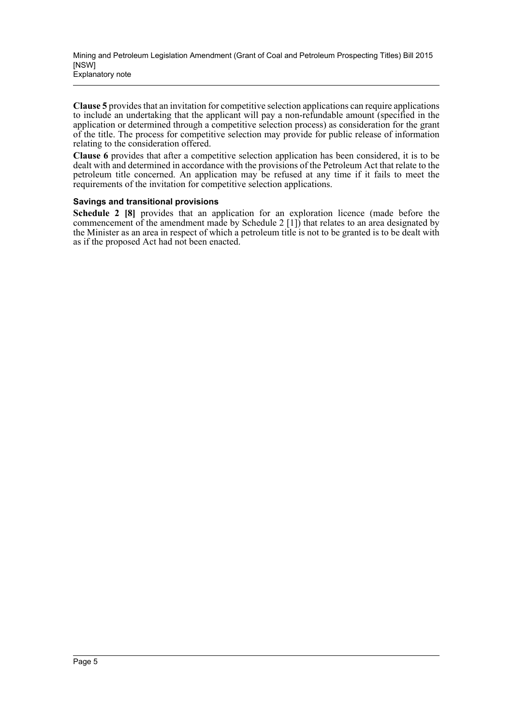**Clause 5** provides that an invitation for competitive selection applications can require applications to include an undertaking that the applicant will pay a non-refundable amount (specified in the application or determined through a competitive selection process) as consideration for the grant of the title. The process for competitive selection may provide for public release of information relating to the consideration offered.

**Clause 6** provides that after a competitive selection application has been considered, it is to be dealt with and determined in accordance with the provisions of the Petroleum Act that relate to the petroleum title concerned. An application may be refused at any time if it fails to meet the requirements of the invitation for competitive selection applications.

#### **Savings and transitional provisions**

**Schedule 2 [8]** provides that an application for an exploration licence (made before the commencement of the amendment made by Schedule 2 [1]) that relates to an area designated by the Minister as an area in respect of which a petroleum title is not to be granted is to be dealt with as if the proposed Act had not been enacted.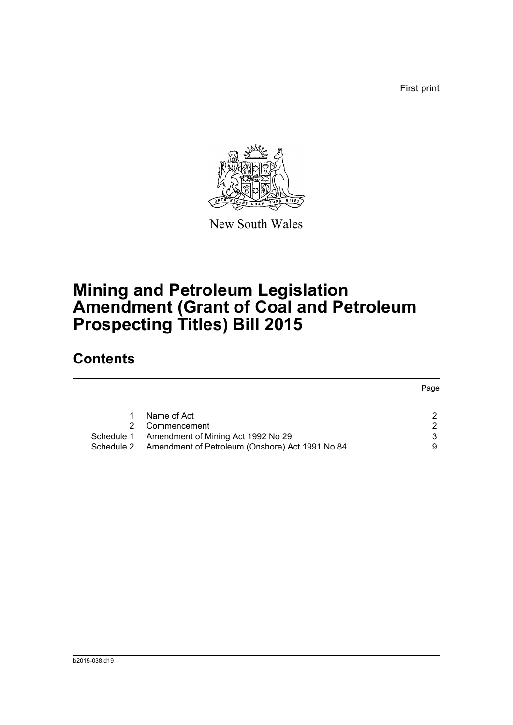First print



New South Wales

# **Mining and Petroleum Legislation Amendment (Grant of Coal and Petroleum Prospecting Titles) Bill 2015**

## **Contents**

|            |                                                 | Page          |
|------------|-------------------------------------------------|---------------|
|            |                                                 |               |
|            | Name of Act                                     |               |
|            | Commencement                                    | $\mathcal{P}$ |
| Schedule 1 | Amendment of Mining Act 1992 No 29              | 3             |
| Schedule 2 | Amendment of Petroleum (Onshore) Act 1991 No 84 | 9             |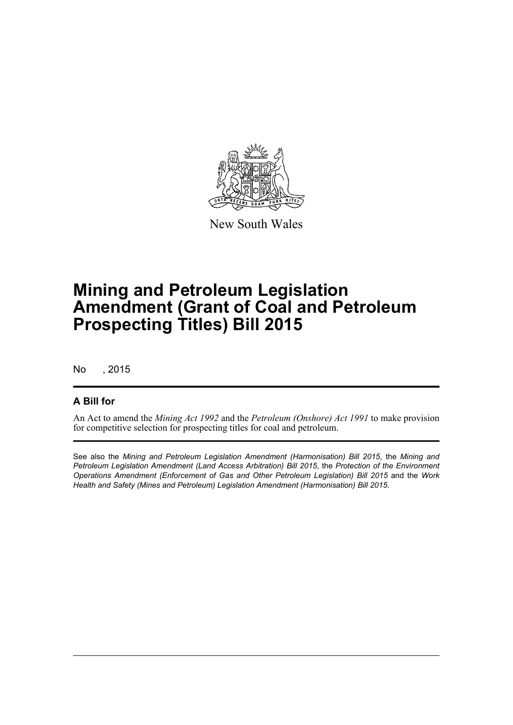

New South Wales

# **Mining and Petroleum Legislation Amendment (Grant of Coal and Petroleum Prospecting Titles) Bill 2015**

No , 2015

### **A Bill for**

An Act to amend the *Mining Act 1992* and the *Petroleum (Onshore) Act 1991* to make provision for competitive selection for prospecting titles for coal and petroleum.

See also the *Mining and Petroleum Legislation Amendment (Harmonisation) Bill 2015*, the *Mining and Petroleum Legislation Amendment (Land Access Arbitration) Bill 2015*, the *Protection of the Environment Operations Amendment (Enforcement of Gas and Other Petroleum Legislation) Bill 2015* and the *Work Health and Safety (Mines and Petroleum) Legislation Amendment (Harmonisation) Bill 2015*.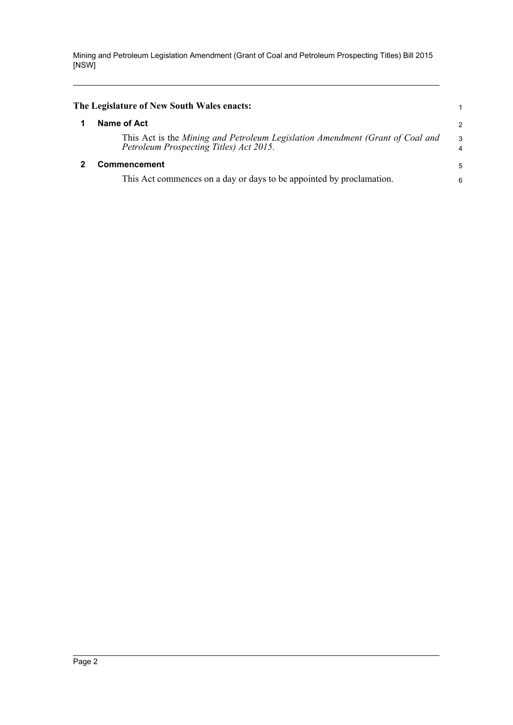<span id="page-7-1"></span><span id="page-7-0"></span>

| The Legislature of New South Wales enacts:                                                                               |                     |
|--------------------------------------------------------------------------------------------------------------------------|---------------------|
| Name of Act                                                                                                              | $\overline{2}$      |
| This Act is the Mining and Petroleum Legislation Amendment (Grant of Coal and<br>Petroleum Prospecting Titles) Act 2015. | 3<br>$\overline{4}$ |
| <b>Commencement</b>                                                                                                      | -5                  |
| This Act commences on a day or days to be appointed by proclamation.                                                     | 6                   |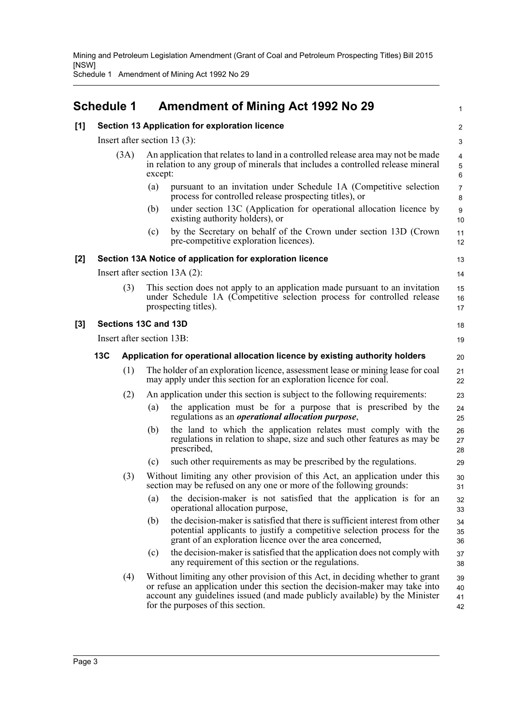Schedule 1 Amendment of Mining Act 1992 No 29

## <span id="page-8-0"></span>**Schedule 1 Amendment of Mining Act 1992 No 29**

|     | <b>Schedule 1</b>               |         | Amendment of Mining Act 1992 No 29                                                                                                                                                                                                                                                 | $\mathbf{1}$             |
|-----|---------------------------------|---------|------------------------------------------------------------------------------------------------------------------------------------------------------------------------------------------------------------------------------------------------------------------------------------|--------------------------|
| [1] |                                 |         | Section 13 Application for exploration licence                                                                                                                                                                                                                                     | $\overline{c}$           |
|     | Insert after section 13 $(3)$ : |         |                                                                                                                                                                                                                                                                                    | 3                        |
|     | (3A)                            | except: | An application that relates to land in a controlled release area may not be made<br>in relation to any group of minerals that includes a controlled release mineral                                                                                                                | $\overline{4}$<br>5<br>6 |
|     |                                 | (a)     | pursuant to an invitation under Schedule 1A (Competitive selection<br>process for controlled release prospecting titles), or                                                                                                                                                       | $\overline{7}$<br>8      |
|     |                                 | (b)     | under section 13C (Application for operational allocation licence by<br>existing authority holders), or                                                                                                                                                                            | 9<br>10                  |
|     |                                 | (c)     | by the Secretary on behalf of the Crown under section 13D (Crown<br>pre-competitive exploration licences).                                                                                                                                                                         | 11<br>12                 |
| [2] |                                 |         | Section 13A Notice of application for exploration licence                                                                                                                                                                                                                          | 13                       |
|     | Insert after section $13A(2)$ : |         |                                                                                                                                                                                                                                                                                    | 14                       |
|     | (3)                             |         | This section does not apply to an application made pursuant to an invitation<br>under Schedule 1A (Competitive selection process for controlled release<br>prospecting titles).                                                                                                    | 15<br>16<br>17           |
| [3] | Sections 13C and 13D            |         |                                                                                                                                                                                                                                                                                    | 18                       |
|     | Insert after section 13B:       |         |                                                                                                                                                                                                                                                                                    | 19                       |
|     | 13C                             |         | Application for operational allocation licence by existing authority holders                                                                                                                                                                                                       | 20                       |
|     | (1)                             |         | The holder of an exploration licence, assessment lease or mining lease for coal<br>may apply under this section for an exploration licence for coal.                                                                                                                               | 21<br>22                 |
|     | (2)                             |         | An application under this section is subject to the following requirements:                                                                                                                                                                                                        | 23                       |
|     |                                 | (a)     | the application must be for a purpose that is prescribed by the<br>regulations as an <i>operational allocation purpose</i> ,                                                                                                                                                       | 24<br>25                 |
|     |                                 | (b)     | the land to which the application relates must comply with the<br>regulations in relation to shape, size and such other features as may be<br>prescribed,                                                                                                                          | 26<br>27<br>28           |
|     |                                 | (c)     | such other requirements as may be prescribed by the regulations.                                                                                                                                                                                                                   | 29                       |
|     | (3)                             |         | Without limiting any other provision of this Act, an application under this<br>section may be refused on any one or more of the following grounds:                                                                                                                                 | 30<br>31                 |
|     |                                 | (a)     | the decision-maker is not satisfied that the application is for an<br>operational allocation purpose,                                                                                                                                                                              | 32<br>33                 |
|     |                                 | (b)     | the decision-maker is satisfied that there is sufficient interest from other<br>potential applicants to justify a competitive selection process for the<br>grant of an exploration licence over the area concerned,                                                                | 34<br>35<br>36           |
|     |                                 | (c)     | the decision-maker is satisfied that the application does not comply with<br>any requirement of this section or the regulations.                                                                                                                                                   | 37<br>38                 |
|     | (4)                             |         | Without limiting any other provision of this Act, in deciding whether to grant<br>or refuse an application under this section the decision-maker may take into<br>account any guidelines issued (and made publicly available) by the Minister<br>for the purposes of this section. | 39<br>40<br>41<br>42     |

 $[3]$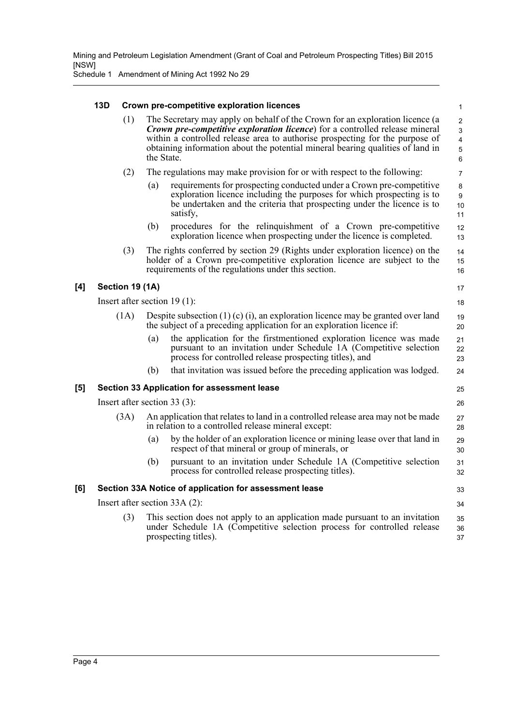|     | 13D             |      |            | Crown pre-competitive exploration licences                                                                                                                                                                                                                                                                                            | $\mathbf{1}$                                                                        |
|-----|-----------------|------|------------|---------------------------------------------------------------------------------------------------------------------------------------------------------------------------------------------------------------------------------------------------------------------------------------------------------------------------------------|-------------------------------------------------------------------------------------|
|     |                 | (1)  | the State. | The Secretary may apply on behalf of the Crown for an exploration licence (a<br><b>Crown pre-competitive exploration licence</b> ) for a controlled release mineral<br>within a controlled release area to authorise prospecting for the purpose of<br>obtaining information about the potential mineral bearing qualities of land in | $\overline{c}$<br>$\mathfrak{S}$<br>$\overline{\mathbf{4}}$<br>$\mathbf 5$<br>$\,6$ |
|     |                 | (2)  |            | The regulations may make provision for or with respect to the following:                                                                                                                                                                                                                                                              | $\overline{7}$                                                                      |
|     |                 |      | (a)        | requirements for prospecting conducted under a Crown pre-competitive<br>exploration licence including the purposes for which prospecting is to<br>be undertaken and the criteria that prospecting under the licence is to<br>satisfy,                                                                                                 | 8<br>9<br>10<br>11                                                                  |
|     |                 |      | (b)        | procedures for the relinquishment of a Crown pre-competitive<br>exploration licence when prospecting under the licence is completed.                                                                                                                                                                                                  | 12<br>13                                                                            |
|     |                 | (3)  |            | The rights conferred by section 29 (Rights under exploration licence) on the<br>holder of a Crown pre-competitive exploration licence are subject to the<br>requirements of the regulations under this section.                                                                                                                       | 14<br>15<br>16                                                                      |
| [4] | Section 19 (1A) |      |            |                                                                                                                                                                                                                                                                                                                                       | 17                                                                                  |
|     |                 |      |            | Insert after section $19(1)$ :                                                                                                                                                                                                                                                                                                        | 18                                                                                  |
|     |                 | (1A) |            | Despite subsection $(1)$ $(c)$ $(i)$ , an exploration licence may be granted over land<br>the subject of a preceding application for an exploration licence if:                                                                                                                                                                       | 19<br>20                                                                            |
|     |                 |      | (a)        | the application for the firstmentioned exploration licence was made<br>pursuant to an invitation under Schedule 1A (Competitive selection<br>process for controlled release prospecting titles), and                                                                                                                                  | 21<br>22<br>23                                                                      |
|     |                 |      | (b)        | that invitation was issued before the preceding application was lodged.                                                                                                                                                                                                                                                               | 24                                                                                  |
| [5] |                 |      |            | Section 33 Application for assessment lease                                                                                                                                                                                                                                                                                           | 25                                                                                  |
|     |                 |      |            | Insert after section 33 $(3)$ :                                                                                                                                                                                                                                                                                                       | 26                                                                                  |
|     |                 | (3A) |            | An application that relates to land in a controlled release area may not be made<br>in relation to a controlled release mineral except:                                                                                                                                                                                               | 27<br>28                                                                            |
|     |                 |      | (a)        | by the holder of an exploration licence or mining lease over that land in<br>respect of that mineral or group of minerals, or                                                                                                                                                                                                         | 29<br>30                                                                            |
|     |                 |      | (b)        | pursuant to an invitation under Schedule 1A (Competitive selection<br>process for controlled release prospecting titles).                                                                                                                                                                                                             | 31<br>32                                                                            |
| [6] |                 |      |            | Section 33A Notice of application for assessment lease                                                                                                                                                                                                                                                                                | 33                                                                                  |
|     |                 |      |            | Insert after section $33A(2)$ :                                                                                                                                                                                                                                                                                                       | 34                                                                                  |
|     |                 | (3)  |            | This section does not apply to an application made pursuant to an invitation<br>under Schedule 1A (Competitive selection process for controlled release<br>prospecting titles).                                                                                                                                                       | 35<br>36<br>37                                                                      |
|     |                 |      |            |                                                                                                                                                                                                                                                                                                                                       |                                                                                     |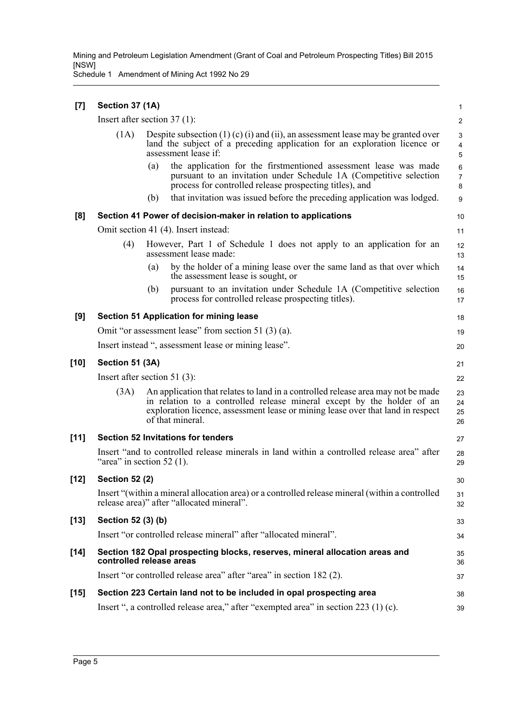| $[7]$  | Section 37 (1A)       |                                                                                                                                                                                                                                                                   | $\mathbf{1}$             |
|--------|-----------------------|-------------------------------------------------------------------------------------------------------------------------------------------------------------------------------------------------------------------------------------------------------------------|--------------------------|
|        |                       | Insert after section $37(1)$ :                                                                                                                                                                                                                                    | $\overline{c}$           |
|        | (1A)                  | Despite subsection $(1)$ (c) $(i)$ and $(ii)$ , an assessment lease may be granted over<br>land the subject of a preceding application for an exploration licence or<br>assessment lease if:                                                                      | 3<br>4<br>5              |
|        |                       | the application for the firstmentioned assessment lease was made<br>(a)<br>pursuant to an invitation under Schedule 1A (Competitive selection<br>process for controlled release prospecting titles), and                                                          | 6<br>$\overline{7}$<br>8 |
|        |                       | that invitation was issued before the preceding application was lodged.<br>(b)                                                                                                                                                                                    | 9                        |
| [8]    |                       | Section 41 Power of decision-maker in relation to applications                                                                                                                                                                                                    | 10                       |
|        |                       | Omit section 41 (4). Insert instead:                                                                                                                                                                                                                              | 11                       |
|        | (4)                   | However, Part 1 of Schedule 1 does not apply to an application for an<br>assessment lease made:                                                                                                                                                                   | 12<br>13                 |
|        |                       | by the holder of a mining lease over the same land as that over which<br>(a)<br>the assessment lease is sought, or                                                                                                                                                | 14<br>15                 |
|        |                       | pursuant to an invitation under Schedule 1A (Competitive selection<br>(b)<br>process for controlled release prospecting titles).                                                                                                                                  | 16<br>17                 |
| [9]    |                       | <b>Section 51 Application for mining lease</b>                                                                                                                                                                                                                    | 18                       |
|        |                       | Omit "or assessment lease" from section 51 $(3)(a)$ .                                                                                                                                                                                                             | 19                       |
|        |                       | Insert instead ", assessment lease or mining lease".                                                                                                                                                                                                              | 20                       |
| $[10]$ | Section 51 (3A)       |                                                                                                                                                                                                                                                                   | 21                       |
|        |                       | Insert after section 51 $(3)$ :                                                                                                                                                                                                                                   | 22                       |
|        | (3A)                  | An application that relates to land in a controlled release area may not be made<br>in relation to a controlled release mineral except by the holder of an<br>exploration licence, assessment lease or mining lease over that land in respect<br>of that mineral. | 23<br>24<br>25<br>26     |
| [11]   |                       | Section 52 Invitations for tenders                                                                                                                                                                                                                                | 27                       |
|        |                       | Insert "and to controlled release minerals in land within a controlled release area" after<br>"area" in section $52$ (1).                                                                                                                                         | 28<br>29                 |
| $[12]$ | <b>Section 52 (2)</b> |                                                                                                                                                                                                                                                                   | 30                       |
|        |                       | Insert "(within a mineral allocation area) or a controlled release mineral (within a controlled<br>release area)" after "allocated mineral".                                                                                                                      | 31<br>32                 |
| $[13]$ | Section 52 (3) (b)    |                                                                                                                                                                                                                                                                   | 33                       |
|        |                       | Insert "or controlled release mineral" after "allocated mineral".                                                                                                                                                                                                 | 34                       |
| $[14]$ |                       | Section 182 Opal prospecting blocks, reserves, mineral allocation areas and<br>controlled release areas                                                                                                                                                           | 35<br>36                 |
|        |                       | Insert "or controlled release area" after "area" in section 182 (2).                                                                                                                                                                                              | 37                       |
| $[15]$ |                       | Section 223 Certain land not to be included in opal prospecting area                                                                                                                                                                                              | 38                       |
|        |                       | Insert ", a controlled release area," after "exempted area" in section 223 (1) (c).                                                                                                                                                                               | 39                       |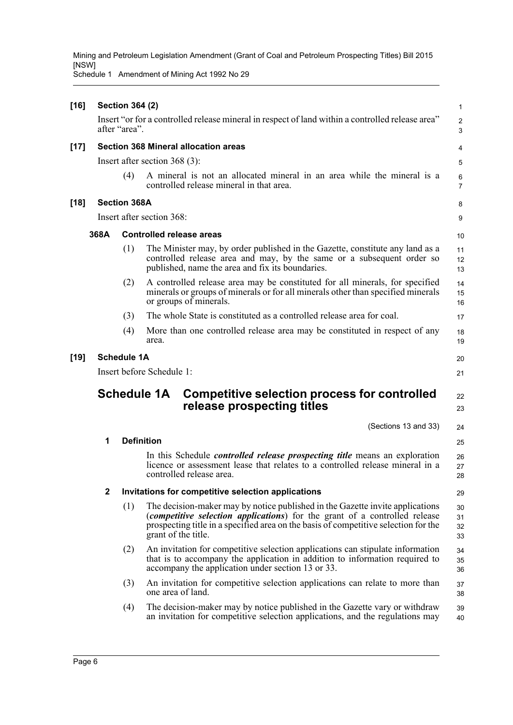| $[16]$ |              | <b>Section 364 (2)</b> |                                                                                                                                                                                                                                                                                    | $\mathbf{1}$         |
|--------|--------------|------------------------|------------------------------------------------------------------------------------------------------------------------------------------------------------------------------------------------------------------------------------------------------------------------------------|----------------------|
|        |              | after "area".          | Insert "or for a controlled release mineral in respect of land within a controlled release area"                                                                                                                                                                                   | $\overline{c}$<br>3  |
| $[17]$ |              |                        | <b>Section 368 Mineral allocation areas</b>                                                                                                                                                                                                                                        | 4                    |
|        |              |                        | Insert after section $368(3)$ :                                                                                                                                                                                                                                                    | 5                    |
|        |              | (4)                    | A mineral is not an allocated mineral in an area while the mineral is a<br>controlled release mineral in that area.                                                                                                                                                                | 6<br>7               |
| $[18]$ |              | <b>Section 368A</b>    |                                                                                                                                                                                                                                                                                    | 8                    |
|        |              |                        | Insert after section 368:                                                                                                                                                                                                                                                          | 9                    |
|        | 368A         |                        | <b>Controlled release areas</b>                                                                                                                                                                                                                                                    | 10                   |
|        |              | (1)                    | The Minister may, by order published in the Gazette, constitute any land as a<br>controlled release area and may, by the same or a subsequent order so<br>published, name the area and fix its boundaries.                                                                         | 11<br>12<br>13       |
|        |              | (2)                    | A controlled release area may be constituted for all minerals, for specified<br>minerals or groups of minerals or for all minerals other than specified minerals<br>or groups of minerals.                                                                                         | 14<br>15<br>16       |
|        |              | (3)                    | The whole State is constituted as a controlled release area for coal.                                                                                                                                                                                                              | 17                   |
|        |              | (4)                    | More than one controlled release area may be constituted in respect of any<br>area.                                                                                                                                                                                                | 18<br>19             |
| $[19]$ |              | <b>Schedule 1A</b>     |                                                                                                                                                                                                                                                                                    | 20                   |
|        |              |                        | Insert before Schedule 1:                                                                                                                                                                                                                                                          | 21                   |
|        |              |                        | <b>Schedule 1A</b><br><b>Competitive selection process for controlled</b><br>release prospecting titles                                                                                                                                                                            | 22<br>23             |
|        |              |                        | (Sections 13 and 33)                                                                                                                                                                                                                                                               | 24                   |
|        | 1            |                        | <b>Definition</b>                                                                                                                                                                                                                                                                  | 25                   |
|        |              |                        | In this Schedule <i>controlled release prospecting title</i> means an exploration<br>licence or assessment lease that relates to a controlled release mineral in a<br>controlled release area.                                                                                     | 26<br>27<br>28       |
|        | $\mathbf{2}$ |                        | Invitations for competitive selection applications                                                                                                                                                                                                                                 | 29                   |
|        |              | (1)                    | The decision-maker may by notice published in the Gazette invite applications<br>( <i>competitive selection applications</i> ) for the grant of a controlled release<br>prospecting title in a specified area on the basis of competitive selection for the<br>grant of the title. | 30<br>31<br>32<br>33 |
|        |              | (2)                    | An invitation for competitive selection applications can stipulate information<br>that is to accompany the application in addition to information required to<br>accompany the application under section 13 or 33.                                                                 | 34<br>35<br>36       |
|        |              | (3)                    | An invitation for competitive selection applications can relate to more than<br>one area of land.                                                                                                                                                                                  | 37<br>38             |
|        |              | (4)                    | The decision-maker may by notice published in the Gazette vary or withdraw<br>an invitation for competitive selection applications, and the regulations may                                                                                                                        | 39<br>40             |
|        |              |                        |                                                                                                                                                                                                                                                                                    |                      |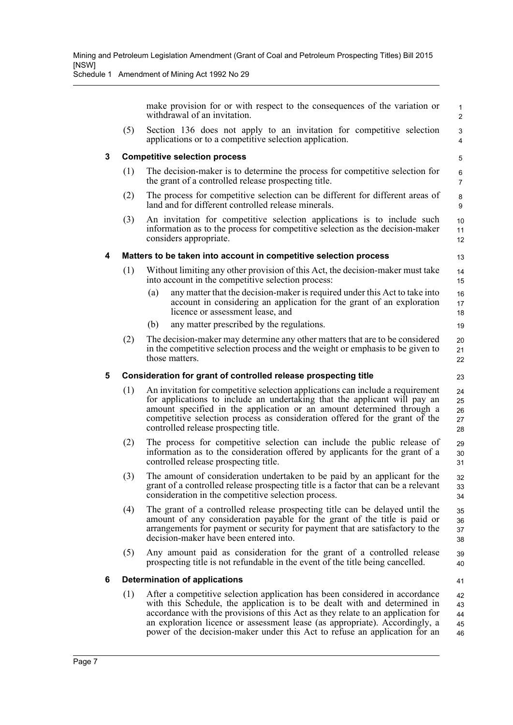|   |     | make provision for or with respect to the consequences of the variation or<br>withdrawal of an invitation.                                                                                                                                                                                                                                                   | $\mathbf{1}$<br>$\overline{2}$ |
|---|-----|--------------------------------------------------------------------------------------------------------------------------------------------------------------------------------------------------------------------------------------------------------------------------------------------------------------------------------------------------------------|--------------------------------|
|   | (5) | Section 136 does not apply to an invitation for competitive selection<br>applications or to a competitive selection application.                                                                                                                                                                                                                             | 3<br>$\overline{4}$            |
| 3 |     | <b>Competitive selection process</b>                                                                                                                                                                                                                                                                                                                         | 5                              |
|   | (1) | The decision-maker is to determine the process for competitive selection for<br>the grant of a controlled release prospecting title.                                                                                                                                                                                                                         | 6<br>$\overline{7}$            |
|   | (2) | The process for competitive selection can be different for different areas of<br>land and for different controlled release minerals.                                                                                                                                                                                                                         | 8<br>9                         |
|   | (3) | An invitation for competitive selection applications is to include such<br>information as to the process for competitive selection as the decision-maker<br>considers appropriate.                                                                                                                                                                           | 10<br>11<br>12                 |
| 4 |     | Matters to be taken into account in competitive selection process                                                                                                                                                                                                                                                                                            | 13                             |
|   | (1) | Without limiting any other provision of this Act, the decision-maker must take<br>into account in the competitive selection process:                                                                                                                                                                                                                         | 14<br>15                       |
|   |     | any matter that the decision-maker is required under this Act to take into<br>(a)<br>account in considering an application for the grant of an exploration<br>licence or assessment lease, and                                                                                                                                                               | 16<br>17<br>18                 |
|   |     | any matter prescribed by the regulations.<br>(b)                                                                                                                                                                                                                                                                                                             | 19                             |
|   | (2) | The decision-maker may determine any other matters that are to be considered<br>in the competitive selection process and the weight or emphasis to be given to<br>those matters.                                                                                                                                                                             | 20<br>21<br>22                 |
| 5 |     | Consideration for grant of controlled release prospecting title                                                                                                                                                                                                                                                                                              | 23                             |
|   | (1) | An invitation for competitive selection applications can include a requirement<br>for applications to include an undertaking that the applicant will pay an<br>amount specified in the application or an amount determined through a<br>competitive selection process as consideration offered for the grant of the<br>controlled release prospecting title. | 24<br>25<br>26<br>27<br>28     |
|   | (2) | The process for competitive selection can include the public release of<br>information as to the consideration offered by applicants for the grant of a                                                                                                                                                                                                      | 29<br>30                       |
|   |     | controlled release prospecting title.                                                                                                                                                                                                                                                                                                                        | 31                             |
|   | (3) | The amount of consideration undertaken to be paid by an applicant for the<br>grant of a controlled release prospecting title is a factor that can be a relevant<br>consideration in the competitive selection process.                                                                                                                                       | 32<br>33<br>34                 |
|   | (4) | The grant of a controlled release prospecting title can be delayed until the<br>amount of any consideration payable for the grant of the title is paid or<br>arrangements for payment or security for payment that are satisfactory to the<br>decision-maker have been entered into.                                                                         | 35<br>36<br>37<br>38           |
|   | (5) | Any amount paid as consideration for the grant of a controlled release<br>prospecting title is not refundable in the event of the title being cancelled.                                                                                                                                                                                                     | 39<br>40                       |
| 6 |     | <b>Determination of applications</b>                                                                                                                                                                                                                                                                                                                         | 41                             |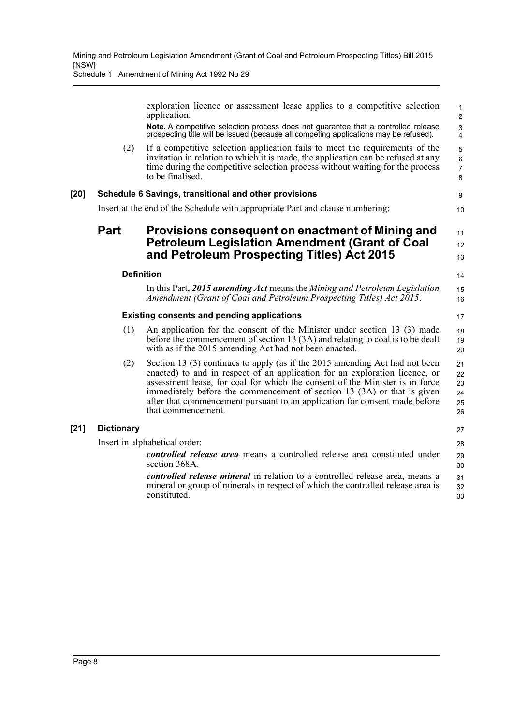Schedule 1 Amendment of Mining Act 1992 No 29

|        |                   | exploration licence or assessment lease applies to a competitive selection<br>application.                                                                                                                                                                                                                                                                                                                                | $\mathbf{1}$<br>$\overline{2}$             |
|--------|-------------------|---------------------------------------------------------------------------------------------------------------------------------------------------------------------------------------------------------------------------------------------------------------------------------------------------------------------------------------------------------------------------------------------------------------------------|--------------------------------------------|
|        |                   | Note. A competitive selection process does not guarantee that a controlled release<br>prospecting title will be issued (because all competing applications may be refused).                                                                                                                                                                                                                                               | 3<br>4                                     |
|        | (2)               | If a competitive selection application fails to meet the requirements of the<br>invitation in relation to which it is made, the application can be refused at any<br>time during the competitive selection process without waiting for the process<br>to be finalised.                                                                                                                                                    | 5<br>$6\phantom{1}$<br>$\overline{7}$<br>8 |
| $[20]$ |                   | Schedule 6 Savings, transitional and other provisions                                                                                                                                                                                                                                                                                                                                                                     | 9                                          |
|        |                   | Insert at the end of the Schedule with appropriate Part and clause numbering:                                                                                                                                                                                                                                                                                                                                             | 10                                         |
|        | <b>Part</b>       | Provisions consequent on enactment of Mining and                                                                                                                                                                                                                                                                                                                                                                          | 11                                         |
|        |                   | <b>Petroleum Legislation Amendment (Grant of Coal</b>                                                                                                                                                                                                                                                                                                                                                                     | 12                                         |
|        |                   | and Petroleum Prospecting Titles) Act 2015                                                                                                                                                                                                                                                                                                                                                                                | 13                                         |
|        | <b>Definition</b> |                                                                                                                                                                                                                                                                                                                                                                                                                           | 14                                         |
|        |                   | In this Part, 2015 amending Act means the Mining and Petroleum Legislation<br>Amendment (Grant of Coal and Petroleum Prospecting Titles) Act 2015.                                                                                                                                                                                                                                                                        | 15<br>16                                   |
|        |                   | <b>Existing consents and pending applications</b>                                                                                                                                                                                                                                                                                                                                                                         | 17                                         |
|        | (1)               | An application for the consent of the Minister under section 13 (3) made<br>before the commencement of section 13 (3A) and relating to coal is to be dealt<br>with as if the 2015 amending Act had not been enacted.                                                                                                                                                                                                      | 18<br>19<br>20                             |
|        | (2)               | Section 13 (3) continues to apply (as if the 2015 amending Act had not been<br>enacted) to and in respect of an application for an exploration licence, or<br>assessment lease, for coal for which the consent of the Minister is in force<br>immediately before the commencement of section 13 (3A) or that is given<br>after that commencement pursuant to an application for consent made before<br>that commencement. | 21<br>22<br>23<br>24<br>25<br>26           |
| $[21]$ | <b>Dictionary</b> |                                                                                                                                                                                                                                                                                                                                                                                                                           | 27                                         |
|        |                   | Insert in alphabetical order:                                                                                                                                                                                                                                                                                                                                                                                             | 28                                         |
|        |                   | <i>controlled release area</i> means a controlled release area constituted under<br>section 368A.                                                                                                                                                                                                                                                                                                                         | 29<br>30                                   |
|        |                   | <i>controlled release mineral</i> in relation to a controlled release area, means a<br>mineral or group of minerals in respect of which the controlled release area is<br>constituted.                                                                                                                                                                                                                                    | 31<br>32<br>33                             |

**[21] Dictionary**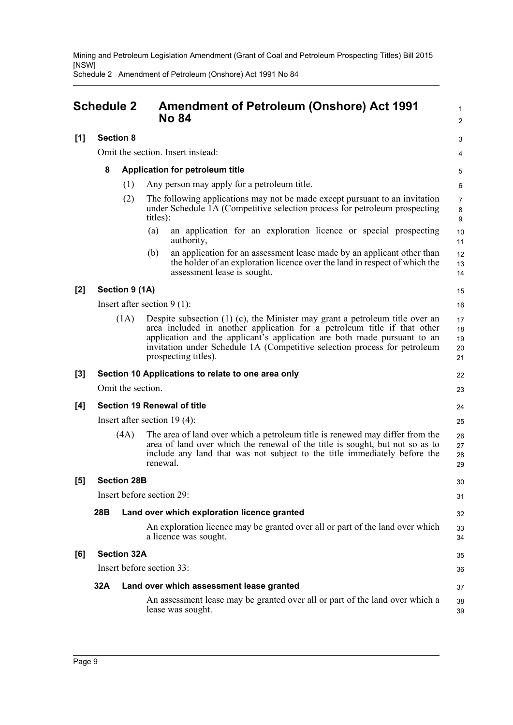Schedule 2 Amendment of Petroleum (Onshore) Act 1991 No 84

<span id="page-14-0"></span>

|       | <b>Schedule 2</b> |                    | <b>Amendment of Petroleum (Onshore) Act 1991</b><br><b>No 84</b> |                                                                                                                                                                                                                                                                                                                                                | $\mathbf{1}$<br>$\overline{2}$ |
|-------|-------------------|--------------------|------------------------------------------------------------------|------------------------------------------------------------------------------------------------------------------------------------------------------------------------------------------------------------------------------------------------------------------------------------------------------------------------------------------------|--------------------------------|
| [1]   | <b>Section 8</b>  |                    |                                                                  |                                                                                                                                                                                                                                                                                                                                                | 3                              |
|       |                   |                    |                                                                  | Omit the section. Insert instead:                                                                                                                                                                                                                                                                                                              | 4                              |
|       | 8                 |                    |                                                                  | Application for petroleum title                                                                                                                                                                                                                                                                                                                | 5                              |
|       |                   | (1)                |                                                                  | Any person may apply for a petroleum title.                                                                                                                                                                                                                                                                                                    | 6                              |
|       |                   | (2)                | titles):                                                         | The following applications may not be made except pursuant to an invitation<br>under Schedule 1A (Competitive selection process for petroleum prospecting                                                                                                                                                                                      | 7<br>8<br>$\boldsymbol{9}$     |
|       |                   |                    | (a)                                                              | an application for an exploration licence or special prospecting<br>authority,                                                                                                                                                                                                                                                                 | 10<br>11                       |
|       |                   |                    | (b)                                                              | an application for an assessment lease made by an applicant other than<br>the holder of an exploration licence over the land in respect of which the<br>assessment lease is sought.                                                                                                                                                            | 12<br>13<br>14                 |
| $[2]$ |                   | Section 9 (1A)     |                                                                  |                                                                                                                                                                                                                                                                                                                                                | 15                             |
|       |                   |                    |                                                                  | Insert after section $9(1)$ :                                                                                                                                                                                                                                                                                                                  | 16                             |
|       |                   | (1A)               |                                                                  | Despite subsection $(1)$ $(c)$ , the Minister may grant a petroleum title over an<br>area included in another application for a petroleum title if that other<br>application and the applicant's application are both made pursuant to an<br>invitation under Schedule 1A (Competitive selection process for petroleum<br>prospecting titles). | 17<br>18<br>19<br>20<br>21     |
| $[3]$ |                   |                    |                                                                  | Section 10 Applications to relate to one area only                                                                                                                                                                                                                                                                                             | 22                             |
|       |                   | Omit the section.  |                                                                  |                                                                                                                                                                                                                                                                                                                                                | 23                             |
| [4]   |                   |                    |                                                                  | <b>Section 19 Renewal of title</b>                                                                                                                                                                                                                                                                                                             | 24                             |
|       |                   |                    |                                                                  | Insert after section $19(4)$ :                                                                                                                                                                                                                                                                                                                 | 25                             |
|       |                   | (4A)               | renewal.                                                         | The area of land over which a petroleum title is renewed may differ from the<br>area of land over which the renewal of the title is sought, but not so as to<br>include any land that was not subject to the title immediately before the                                                                                                      | 26<br>27<br>28<br>29           |
| [5]   |                   | <b>Section 28B</b> |                                                                  |                                                                                                                                                                                                                                                                                                                                                | 30                             |
|       |                   |                    |                                                                  | Insert before section 29:                                                                                                                                                                                                                                                                                                                      | 31                             |
|       | 28B               |                    |                                                                  | Land over which exploration licence granted                                                                                                                                                                                                                                                                                                    | 32                             |
|       |                   |                    |                                                                  | An exploration licence may be granted over all or part of the land over which<br>a licence was sought.                                                                                                                                                                                                                                         | 33<br>34                       |
| [6]   |                   | <b>Section 32A</b> |                                                                  |                                                                                                                                                                                                                                                                                                                                                | 35                             |
|       |                   |                    |                                                                  | Insert before section 33:                                                                                                                                                                                                                                                                                                                      | 36                             |
|       | 32A               |                    |                                                                  | Land over which assessment lease granted                                                                                                                                                                                                                                                                                                       | 37                             |
|       |                   |                    |                                                                  | An assessment lease may be granted over all or part of the land over which a<br>lease was sought.                                                                                                                                                                                                                                              | 38<br>39                       |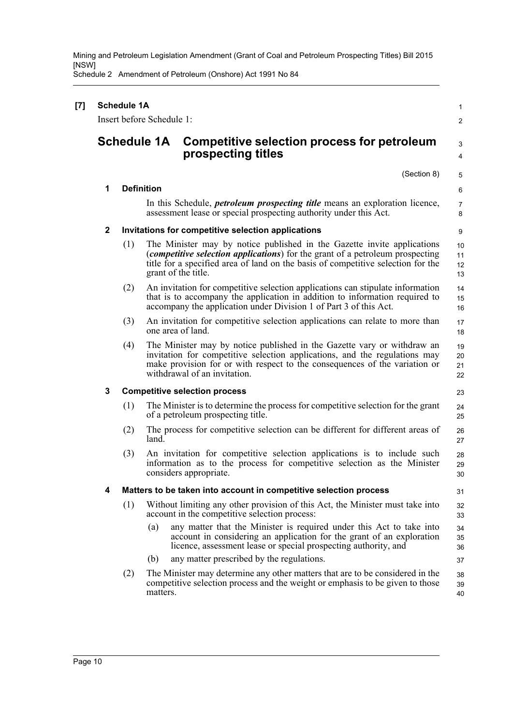Schedule 2 Amendment of Petroleum (Onshore) Act 1991 No 84

| $[7]$ |              | <b>Schedule 1A</b>                                                      | Insert before Schedule 1:                                                                                                                                                                                                                                                    | 1                    |  |  |  |
|-------|--------------|-------------------------------------------------------------------------|------------------------------------------------------------------------------------------------------------------------------------------------------------------------------------------------------------------------------------------------------------------------------|----------------------|--|--|--|
|       |              |                                                                         | <b>Schedule 1A</b><br>Competitive selection process for petroleum<br>prospecting titles                                                                                                                                                                                      | 2<br>3<br>4          |  |  |  |
|       |              |                                                                         | (Section 8)                                                                                                                                                                                                                                                                  | 5                    |  |  |  |
|       | 1            |                                                                         | <b>Definition</b>                                                                                                                                                                                                                                                            | 6                    |  |  |  |
|       |              |                                                                         | In this Schedule, <i>petroleum prospecting title</i> means an exploration licence,<br>assessment lease or special prospecting authority under this Act.                                                                                                                      | 7<br>8               |  |  |  |
|       | $\mathbf{2}$ |                                                                         | Invitations for competitive selection applications                                                                                                                                                                                                                           | 9                    |  |  |  |
|       |              | (1)                                                                     | The Minister may by notice published in the Gazette invite applications<br>( <i>competitive selection applications</i> ) for the grant of a petroleum prospecting<br>title for a specified area of land on the basis of competitive selection for the<br>grant of the title. | 10<br>11<br>12<br>13 |  |  |  |
|       |              | (2)                                                                     | An invitation for competitive selection applications can stipulate information<br>that is to accompany the application in addition to information required to<br>accompany the application under Division 1 of Part 3 of this Act.                                           | 14<br>15<br>16       |  |  |  |
|       |              | (3)                                                                     | An invitation for competitive selection applications can relate to more than<br>one area of land.                                                                                                                                                                            | 17<br>18             |  |  |  |
|       |              | (4)                                                                     | The Minister may by notice published in the Gazette vary or withdraw an<br>invitation for competitive selection applications, and the regulations may<br>make provision for or with respect to the consequences of the variation or<br>withdrawal of an invitation.          | 19<br>20<br>21<br>22 |  |  |  |
|       | 3            |                                                                         | <b>Competitive selection process</b>                                                                                                                                                                                                                                         | 23                   |  |  |  |
|       |              | (1)                                                                     | The Minister is to determine the process for competitive selection for the grant<br>of a petroleum prospecting title.                                                                                                                                                        | 24<br>25             |  |  |  |
|       |              | (2)                                                                     | The process for competitive selection can be different for different areas of<br>land.                                                                                                                                                                                       | 26<br>27             |  |  |  |
|       |              | (3)                                                                     | An invitation for competitive selection applications is to include such<br>information as to the process for competitive selection as the Minister<br>considers appropriate.                                                                                                 | 28<br>29<br>30       |  |  |  |
|       | 4            | Matters to be taken into account in competitive selection process<br>31 |                                                                                                                                                                                                                                                                              |                      |  |  |  |
|       |              | (1)                                                                     | Without limiting any other provision of this Act, the Minister must take into<br>account in the competitive selection process:                                                                                                                                               | 32<br>33             |  |  |  |
|       |              |                                                                         | any matter that the Minister is required under this Act to take into<br>(a)<br>account in considering an application for the grant of an exploration<br>licence, assessment lease or special prospecting authority, and                                                      | 34<br>35<br>36       |  |  |  |
|       |              |                                                                         | any matter prescribed by the regulations.<br>(b)                                                                                                                                                                                                                             | 37                   |  |  |  |
|       |              | (2)                                                                     | The Minister may determine any other matters that are to be considered in the<br>competitive selection process and the weight or emphasis to be given to those<br>matters.                                                                                                   | 38<br>39<br>40       |  |  |  |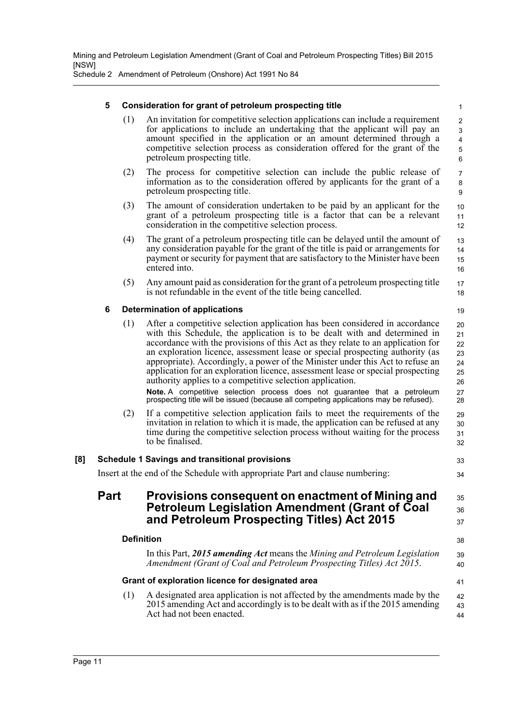Schedule 2 Amendment of Petroleum (Onshore) Act 1991 No 84

#### **5 Consideration for grant of petroleum prospecting title**

(1) An invitation for competitive selection applications can include a requirement for applications to include an undertaking that the applicant will pay an amount specified in the application or an amount determined through a competitive selection process as consideration offered for the grant of the petroleum prospecting title.

17 18

19

35 36 37

- (2) The process for competitive selection can include the public release of information as to the consideration offered by applicants for the grant of a petroleum prospecting title.
- (3) The amount of consideration undertaken to be paid by an applicant for the grant of a petroleum prospecting title is a factor that can be a relevant consideration in the competitive selection process.
- (4) The grant of a petroleum prospecting title can be delayed until the amount of any consideration payable for the grant of the title is paid or arrangements for payment or security for payment that are satisfactory to the Minister have been entered into. 13 14 15 16
- (5) Any amount paid as consideration for the grant of a petroleum prospecting title is not refundable in the event of the title being cancelled.

#### **6 Determination of applications**

(1) After a competitive selection application has been considered in accordance with this Schedule, the application is to be dealt with and determined in accordance with the provisions of this Act as they relate to an application for an exploration licence, assessment lease or special prospecting authority (as appropriate). Accordingly, a power of the Minister under this Act to refuse an application for an exploration licence, assessment lease or special prospecting authority applies to a competitive selection application. **Note.** A competitive selection process does not guarantee that a petroleum prospecting title will be issued (because all competing applications may be refused). (2) If a competitive selection application fails to meet the requirements of the invitation in relation to which it is made, the application can be refused at any time during the competitive selection process without waiting for the process to be finalised. **[8] Schedule 1 Savings and transitional provisions** Insert at the end of the Schedule with appropriate Part and clause numbering:  $20$ 21 22 23 24 25 26 27 28 29 30 31 32 33 34

### **Part Provisions consequent on enactment of Mining and Petroleum Legislation Amendment (Grant of Coal and Petroleum Prospecting Titles) Act 2015**

|     | <b>Definition</b>                                                                                                                                                                         | 38             |
|-----|-------------------------------------------------------------------------------------------------------------------------------------------------------------------------------------------|----------------|
|     | In this Part, 2015 amending Act means the Mining and Petroleum Legislation<br>Amendment (Grant of Coal and Petroleum Prospecting Titles) Act 2015.                                        | 39<br>40       |
|     | Grant of exploration licence for designated area                                                                                                                                          | 41             |
| (1) | A designated area application is not affected by the amendments made by the<br>2015 amending Act and accordingly is to be dealt with as if the 2015 amending<br>Act had not been enacted. | 42<br>43<br>44 |